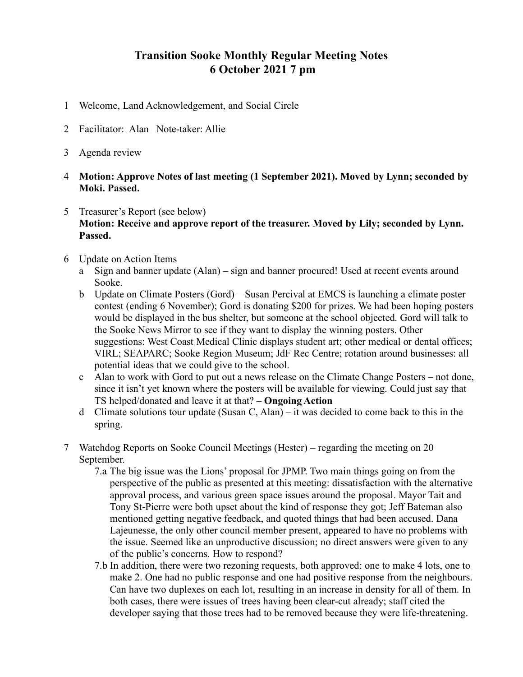## **Transition Sooke Monthly Regular Meeting Notes 6 October 2021 7 pm**

- 1 Welcome, Land Acknowledgement, and Social Circle
- 2 Facilitator: Alan Note-taker: Allie
- 3 Agenda review
- 4 **Motion: Approve Notes of last meeting (1 September 2021). Moved by Lynn; seconded by Moki. Passed.**
- 5 Treasurer's Report (see below) **Motion: Receive and approve report of the treasurer. Moved by Lily; seconded by Lynn. Passed.**
- 6 Update on Action Items
	- a Sign and banner update (Alan) sign and banner procured! Used at recent events around Sooke.
	- b Update on Climate Posters (Gord) Susan Percival at EMCS is launching a climate poster contest (ending 6 November); Gord is donating \$200 for prizes. We had been hoping posters would be displayed in the bus shelter, but someone at the school objected. Gord will talk to the Sooke News Mirror to see if they want to display the winning posters. Other suggestions: West Coast Medical Clinic displays student art; other medical or dental offices; VIRL; SEAPARC; Sooke Region Museum; JdF Rec Centre; rotation around businesses: all potential ideas that we could give to the school.
	- c Alan to work with Gord to put out a news release on the Climate Change Posters not done, since it isn't yet known where the posters will be available for viewing. Could just say that TS helped/donated and leave it at that? – **Ongoing Action**
	- d Climate solutions tour update (Susan C, Alan) it was decided to come back to this in the spring.
- 7 Watchdog Reports on Sooke Council Meetings (Hester) regarding the meeting on 20 September.
	- 7.a The big issue was the Lions' proposal for JPMP. Two main things going on from the perspective of the public as presented at this meeting: dissatisfaction with the alternative approval process, and various green space issues around the proposal. Mayor Tait and Tony St-Pierre were both upset about the kind of response they got; Jeff Bateman also mentioned getting negative feedback, and quoted things that had been accused. Dana Lajeunesse, the only other council member present, appeared to have no problems with the issue. Seemed like an unproductive discussion; no direct answers were given to any of the public's concerns. How to respond?
	- 7.b In addition, there were two rezoning requests, both approved: one to make 4 lots, one to make 2. One had no public response and one had positive response from the neighbours. Can have two duplexes on each lot, resulting in an increase in density for all of them. In both cases, there were issues of trees having been clear-cut already; staff cited the developer saying that those trees had to be removed because they were life-threatening.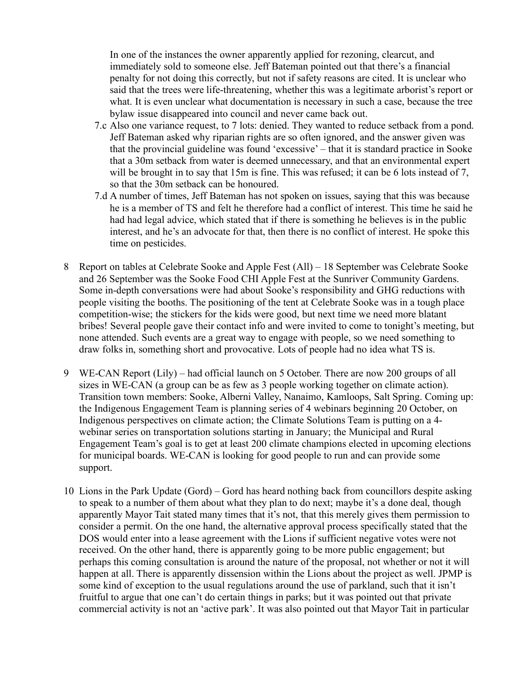In one of the instances the owner apparently applied for rezoning, clearcut, and immediately sold to someone else. Jeff Bateman pointed out that there's a financial penalty for not doing this correctly, but not if safety reasons are cited. It is unclear who said that the trees were life-threatening, whether this was a legitimate arborist's report or what. It is even unclear what documentation is necessary in such a case, because the tree bylaw issue disappeared into council and never came back out.

- 7.c Also one variance request, to 7 lots: denied. They wanted to reduce setback from a pond. Jeff Bateman asked why riparian rights are so often ignored, and the answer given was that the provincial guideline was found 'excessive' – that it is standard practice in Sooke that a 30m setback from water is deemed unnecessary, and that an environmental expert will be brought in to say that 15m is fine. This was refused; it can be 6 lots instead of 7, so that the 30m setback can be honoured.
- 7.d A number of times, Jeff Bateman has not spoken on issues, saying that this was because he is a member of TS and felt he therefore had a conflict of interest. This time he said he had had legal advice, which stated that if there is something he believes is in the public interest, and he's an advocate for that, then there is no conflict of interest. He spoke this time on pesticides.
- 8 Report on tables at Celebrate Sooke and Apple Fest (All) 18 September was Celebrate Sooke and 26 September was the Sooke Food CHI Apple Fest at the Sunriver Community Gardens. Some in-depth conversations were had about Sooke's responsibility and GHG reductions with people visiting the booths. The positioning of the tent at Celebrate Sooke was in a tough place competition-wise; the stickers for the kids were good, but next time we need more blatant bribes! Several people gave their contact info and were invited to come to tonight's meeting, but none attended. Such events are a great way to engage with people, so we need something to draw folks in, something short and provocative. Lots of people had no idea what TS is.
- 9 WE-CAN Report (Lily) had official launch on 5 October. There are now 200 groups of all sizes in WE-CAN (a group can be as few as 3 people working together on climate action). Transition town members: Sooke, Alberni Valley, Nanaimo, Kamloops, Salt Spring. Coming up: the Indigenous Engagement Team is planning series of 4 webinars beginning 20 October, on Indigenous perspectives on climate action; the Climate Solutions Team is putting on a 4 webinar series on transportation solutions starting in January; the Municipal and Rural Engagement Team's goal is to get at least 200 climate champions elected in upcoming elections for municipal boards. WE-CAN is looking for good people to run and can provide some support.
- 10 Lions in the Park Update (Gord) Gord has heard nothing back from councillors despite asking to speak to a number of them about what they plan to do next; maybe it's a done deal, though apparently Mayor Tait stated many times that it's not, that this merely gives them permission to consider a permit. On the one hand, the alternative approval process specifically stated that the DOS would enter into a lease agreement with the Lions if sufficient negative votes were not received. On the other hand, there is apparently going to be more public engagement; but perhaps this coming consultation is around the nature of the proposal, not whether or not it will happen at all. There is apparently dissension within the Lions about the project as well. JPMP is some kind of exception to the usual regulations around the use of parkland, such that it isn't fruitful to argue that one can't do certain things in parks; but it was pointed out that private commercial activity is not an 'active park'. It was also pointed out that Mayor Tait in particular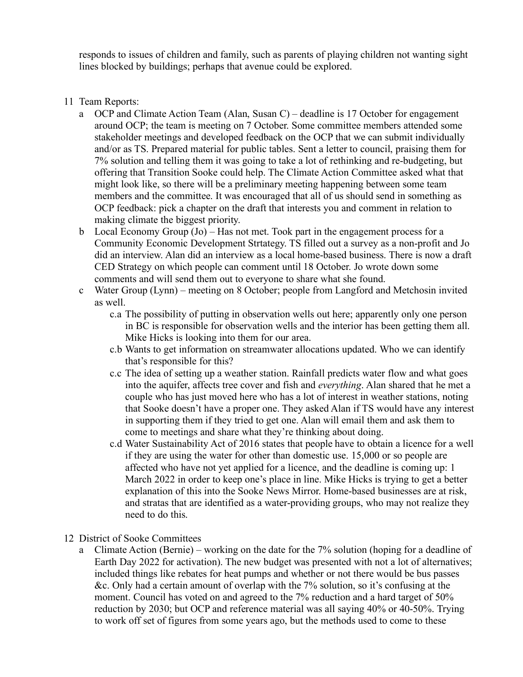responds to issues of children and family, such as parents of playing children not wanting sight lines blocked by buildings; perhaps that avenue could be explored.

- 11 Team Reports:
	- a OCP and Climate Action Team (Alan, Susan C) deadline is 17 October for engagement around OCP; the team is meeting on 7 October. Some committee members attended some stakeholder meetings and developed feedback on the OCP that we can submit individually and/or as TS. Prepared material for public tables. Sent a letter to council, praising them for 7% solution and telling them it was going to take a lot of rethinking and re-budgeting, but offering that Transition Sooke could help. The Climate Action Committee asked what that might look like, so there will be a preliminary meeting happening between some team members and the committee. It was encouraged that all of us should send in something as OCP feedback: pick a chapter on the draft that interests you and comment in relation to making climate the biggest priority.
	- b Local Economy Group (Jo) Has not met. Took part in the engagement process for a Community Economic Development Strtategy. TS filled out a survey as a non-profit and Jo did an interview. Alan did an interview as a local home-based business. There is now a draft CED Strategy on which people can comment until 18 October. Jo wrote down some comments and will send them out to everyone to share what she found.
	- c Water Group (Lynn) meeting on 8 October; people from Langford and Metchosin invited as well.
		- c.a The possibility of putting in observation wells out here; apparently only one person in BC is responsible for observation wells and the interior has been getting them all. Mike Hicks is looking into them for our area.
		- c.b Wants to get information on streamwater allocations updated. Who we can identify that's responsible for this?
		- c.c The idea of setting up a weather station. Rainfall predicts water flow and what goes into the aquifer, affects tree cover and fish and *everything*. Alan shared that he met a couple who has just moved here who has a lot of interest in weather stations, noting that Sooke doesn't have a proper one. They asked Alan if TS would have any interest in supporting them if they tried to get one. Alan will email them and ask them to come to meetings and share what they're thinking about doing.
		- c.d Water Sustainability Act of 2016 states that people have to obtain a licence for a well if they are using the water for other than domestic use. 15,000 or so people are affected who have not yet applied for a licence, and the deadline is coming up: 1 March 2022 in order to keep one's place in line. Mike Hicks is trying to get a better explanation of this into the Sooke News Mirror. Home-based businesses are at risk, and stratas that are identified as a water-providing groups, who may not realize they need to do this.
- 12 District of Sooke Committees
	- a Climate Action (Bernie) working on the date for the 7% solution (hoping for a deadline of Earth Day 2022 for activation). The new budget was presented with not a lot of alternatives; included things like rebates for heat pumps and whether or not there would be bus passes &c. Only had a certain amount of overlap with the 7% solution, so it's confusing at the moment. Council has voted on and agreed to the 7% reduction and a hard target of 50% reduction by 2030; but OCP and reference material was all saying 40% or 40-50%. Trying to work off set of figures from some years ago, but the methods used to come to these